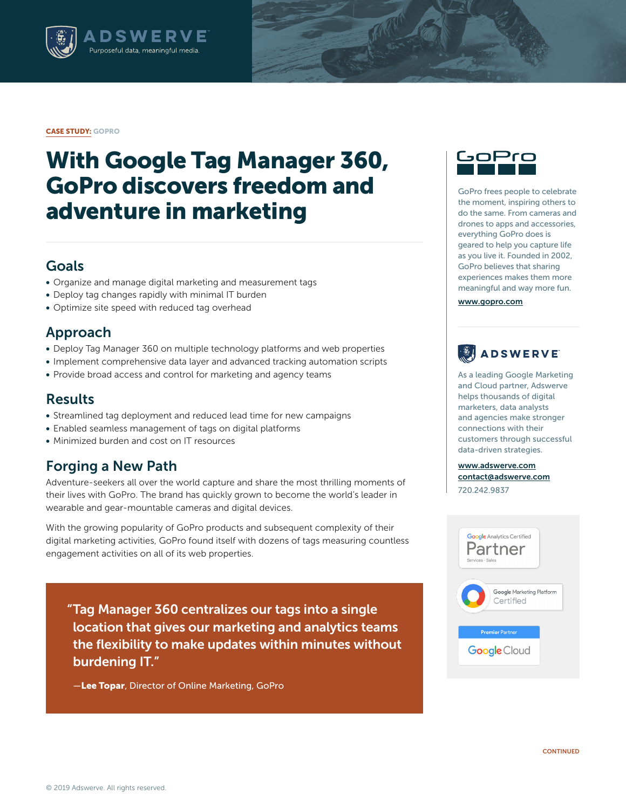

#### CASE STUDY: GOPRO

# With Google Tag Manager 360, GoPro discovers freedom and adventure in marketing

### Goals

- Organize and manage digital marketing and measurement tags
- Deploy tag changes rapidly with minimal IT burden
- Optimize site speed with reduced tag overhead

#### Approach

- Deploy Tag Manager 360 on multiple technology platforms and web properties
- Implement comprehensive data layer and advanced tracking automation scripts
- Provide broad access and control for marketing and agency teams

#### Results

- Streamlined tag deployment and reduced lead time for new campaigns
- Enabled seamless management of tags on digital platforms
- Minimized burden and cost on IT resources

## Forging a New Path

Adventure-seekers all over the world capture and share the most thrilling moments of their lives with GoPro. The brand has quickly grown to become the world's leader in wearable and gear-mountable cameras and digital devices.

With the growing popularity of GoPro products and subsequent complexity of their digital marketing activities, GoPro found itself with dozens of tags measuring countless engagement activities on all of its web properties.

"Tag Manager 360 centralizes our tags into a single location that gives our marketing and analytics teams the flexibility to make updates within minutes without burdening IT."

**-Lee Topar**, Director of Online Marketing, GoPro



GoPro frees people to celebrate the moment, inspiring others to do the same. From cameras and drones to apps and accessories, everything GoPro does is geared to help you capture life as you live it. Founded in 2002, GoPro believes that sharing experiences makes them more meaningful and way more fun.

[www.gopro.com](http://www.gopro.com
)

## ADSWERVE

As a leading Google Marketing and Cloud partner, Adswerve helps thousands of digital marketers, data analysts and agencies make stronger connections with their customers through successful data-driven strategies.

[www.adswerve.com](http://www.adswerve.com) [contact@adswerve.com](mailto:contact%40adswerve.com?subject=) 720.242.9837